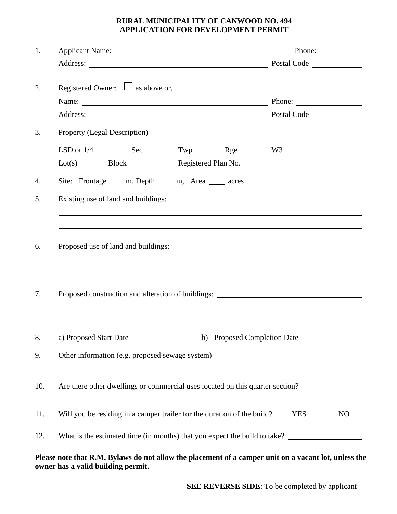## **RURAL MUNICIPALITY OF CANWOOD NO. 494 APPLICATION FOR DEVELOPMENT PERMIT**

| 1.       | Applicant Name: Phone: Phone: Phone: Phone: Phone: Phone: Phone: Phone: Phone: Phone: Phone: Phone: Phone: Phone: Phone: Phone: Phone: Phone: Phone: Phone: Phone: Phone: Phone: Phone: Phone: Phone: Phone: Phone: Phone: Pho                                                                                      |            |                |  |
|----------|---------------------------------------------------------------------------------------------------------------------------------------------------------------------------------------------------------------------------------------------------------------------------------------------------------------------|------------|----------------|--|
|          | Address: National Postal Code National Postal Code National Postal Code National Postal Code National Postal Code                                                                                                                                                                                                   |            |                |  |
| 2.       | Registered Owner: $\Box$ as above or,<br>Name: <u>Name:</u> Phone: 2008. Phone: 2008. Phone: 2008. Phone: 2008. Phone: 2008. Phone: 2008. Phone: 2008. Phone: 2008. Phone: 2008. Phone: 2008. Phone: 2008. Phone: 2008. Phone: 2008. Phone: 2008. Phone: 2008. Phone: 2008.                                         |            |                |  |
| 3.       | Property (Legal Description)                                                                                                                                                                                                                                                                                        |            |                |  |
|          | $Lot(s)$ Block Registered Plan No.                                                                                                                                                                                                                                                                                  |            |                |  |
| 4.       | Site: Frontage _____ m, Depth______ m, Area _____ acres                                                                                                                                                                                                                                                             |            |                |  |
| 5.       |                                                                                                                                                                                                                                                                                                                     |            |                |  |
|          |                                                                                                                                                                                                                                                                                                                     |            |                |  |
| 6.       | ,我们也不会有什么?""我们的人,我们也不会有什么?""我们的人,我们也不会有什么?""我们的人,我们也不会有什么?""我们的人,我们也不会有什么?""我们的人                                                                                                                                                                                                                                    |            |                |  |
| 7.       | Proposed construction and alteration of buildings: ______________________________                                                                                                                                                                                                                                   |            |                |  |
| 8.<br>9. | a) Proposed Start Date lead on Proposed Completion Date set and Proposed Completion Date set and Proposed Start Date set and Proposed Completion Date set and Proposed Start Date set and Proposed Completion Date set and Pro<br>Other information (e.g. proposed sewage system) _________________________________ |            |                |  |
|          |                                                                                                                                                                                                                                                                                                                     |            |                |  |
| 10.      | Are there other dwellings or commercial uses located on this quarter section?                                                                                                                                                                                                                                       |            |                |  |
| 11.      | Will you be residing in a camper trailer for the duration of the build?                                                                                                                                                                                                                                             | <b>YES</b> | N <sub>O</sub> |  |
| 12.      | What is the estimated time (in months) that you expect the build to take?                                                                                                                                                                                                                                           |            |                |  |

## **Please note that R.M. Bylaws do not allow the placement of a camper unit on a vacant lot, unless the owner has a valid building permit.**

**SEE REVERSE SIDE**: To be completed by applicant